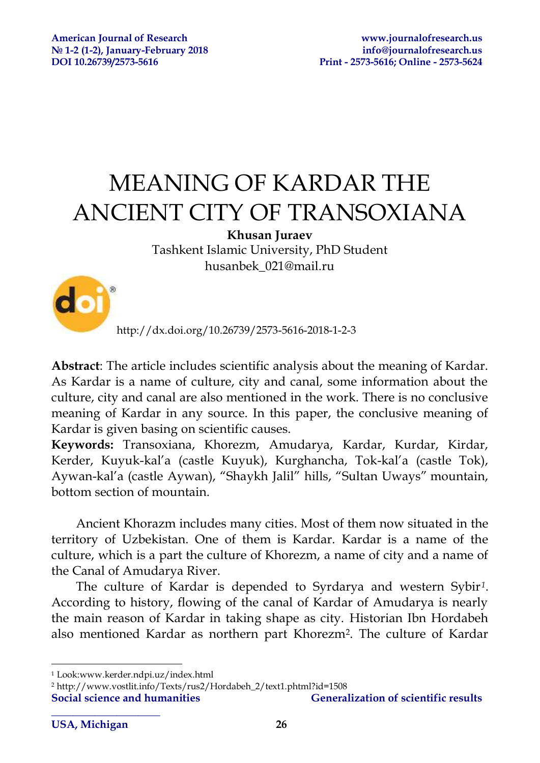# MEANING OF KARDAR THE ANCIENT CITY OF TRANSOXIANA

### **Khusan Juraev**

Tashkent Islamic University, PhD Student husanbek\_021@mail.ru



http://dx.doi.org/10.26739/2573-5616-2018-1-2-3

**Abstract**: The article includes scientific analysis about the meaning of Kardar. As Kardar is a name of culture, city and canal, some information about the culture, city and canal are also mentioned in the work. There is no conclusive meaning of Kardar in any source. In this paper, the conclusive meaning of Kardar is given basing on scientific causes.

**Keywords:** Transoxiana, Khorezm, Amudarya, Kardar, Kurdar, Kirdar, Kerder, Kuyuk-kal'a (castle Kuyuk), Kurghancha, Tok-kal'a (castle Tok), Aywan-kal'a (castle Aywan), "Shaykh Jalil" hills, "Sultan Uways" mountain, bottom section of mountain.

Ancient Khorazm includes many cities. Most of them now situated in the territory of Uzbekistan. One of them is Kardar. Kardar is a name of the culture, which is a part the culture of Khorezm, a name of city and a name of the Canal of Amudarya River.

The culture of Kardar is depended to Syrdarya and western Sybir*<sup>1</sup>* . According to history, flowing of the canal of Kardar of Amudarya is nearly the main reason of Kardar in taking shape as city. Historian Ibn Hordabeh also mentioned Kardar as northern part Khorezm<sup>2</sup> . The culture of Kardar

<sup>1</sup> Look:www.kerder.ndpi.uz/index.html

<sup>2</sup> http://www.vostlit.info/Texts/rus2/Hordabeh\_2/text1.phtml?id=1508

**\_\_\_\_\_\_\_\_\_\_\_\_\_\_\_\_\_\_\_\_** 

1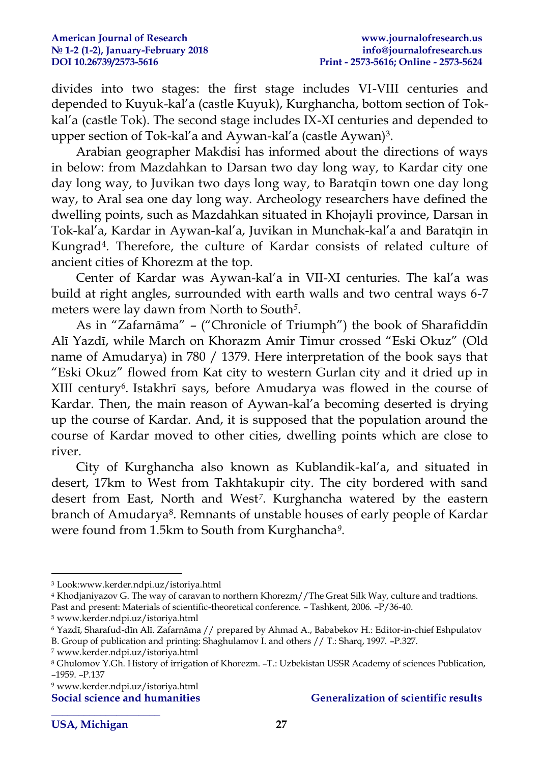divides into two stages: the first stage includes VI-VIII centuries and depended to Kuyuk-kal'a (castle Kuyuk), Kurghancha, bottom section of Tokkal'a (castle Tok). The second stage includes IX-XI centuries and depended to upper section of Tok-kal'a and Aywan-kal'a (castle Aywan)<sup>3</sup> .

Arabian geographer Makdisi has informed about the directions of ways in below: from Mazdahkan to Darsan two day long way, to Kardar city one day long way, to Juvikan two days long way, to Baratqīn town one day long way, to Aral sea one day long way. Archeology researchers have defined the dwelling points, such as Mazdahkan situated in Khojayli province, Darsan in Tok-kal'a, Kardar in Aywan-kal'a, Juvikan in Munchak-kal'a and Baratqīn in Kungrad<sup>4</sup> . Therefore, the culture of Kardar consists of related culture of ancient cities of Khorezm at the top.

Center of Kardar was Aywan-kal'a in VII-XI centuries. The kal'a was build at right angles, surrounded with earth walls and two central ways 6-7 meters were lay dawn from North to South*<sup>5</sup>* .

As in "Zafarnāma" – ("Chronicle of Triumph") the book of Sharafiddīn Alī Yazdī, while March on Khorazm Amir Timur crossed "Eski Okuz" (Old name of Amudarya) in 780 / 1379. Here interpretation of the book says that "Eski Okuz" flowed from Kat city to western Gurlan city and it dried up in XIII century<sup>6</sup>. Istakhrī says, before Amudarya was flowed in the course of Kardar. Then, the main reason of Aywan-kal'a becoming deserted is drying up the course of Kardar. And, it is supposed that the population around the course of Kardar moved to other cities, dwelling points which are close to river.

City of Kurghancha also known as Kublandik-kal'a, and situated in desert, 17km to West from Takhtakupir city. The city bordered with sand desert from East, North and West*<sup>7</sup>* . Kurghancha watered by the eastern branch of Amudarya<sup>8</sup>. Remnants of unstable houses of early people of Kardar were found from 1.5km to South from Kurghancha*<sup>9</sup>* .

**\_\_\_\_\_\_\_\_\_\_\_\_\_\_\_\_\_\_\_\_** 

### **Social science and humanities Generalization of scientific results**

1

<sup>3</sup> Look:www.kerder.ndpi.uz/istoriya.html

<sup>4</sup> Khodjaniyazov G. The way of caravan to northern Khorezm//The Great Silk Way, culture and tradtions. Past and present: Materials of scientific-theoretical conference. – Tashkent, 2006. –P/36-40.

<sup>5</sup> www.kerder.ndpi.uz/istoriya.html

<sup>6</sup> Yazdī, Sharafud-dīn Alī. Zafarnāma // prepared by Ahmad A., Bababekov H.: Editor-in-chief Eshpulatov

B. Group of publication and printing: Shaghulamov I. and others // T.: Sharq, 1997. –P.327.

<sup>7</sup> www.kerder.ndpi.uz/istoriya.html

<sup>8</sup> Ghulomov Y.Gh. History of irrigation of Khorezm. –T.: Uzbekistan USSR Academy of sciences Publication, –1959. –P.137

<sup>9</sup> www.kerder.ndpi.uz/istoriya.html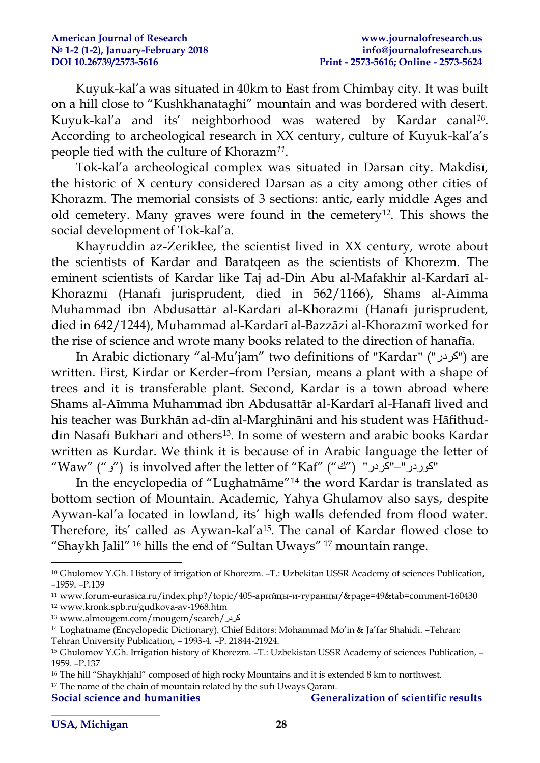Kuyuk-kal'a was situated in 40km to East from Chimbay city. It was built on a hill close to "Kushkhanataghi" mountain and was bordered with desert. Kuyuk-kal'a and its' neighborhood was watered by Kardar canal*<sup>10</sup>* . According to archeological research in XX century, culture of Kuyuk-kal'a's people tied with the culture of Khorazm*<sup>11</sup>* .

Tok-kal'a archeological complex was situated in Darsan city. Makdisī, the historic of X century considered Darsan as a city among other cities of Khorazm. The memorial consists of 3 sections: antic, early middle Ages and old cemetery. Many graves were found in the cemetery12. This shows the social development of Tok-kal'a.

Khayruddin az-Zeriklee, the scientist lived in XX century, wrote about the scientists of Kardar and Baratqeen as the scientists of Khorezm. The eminent scientists of Kardar like Taj ad-Din Abu al-Mafakhir al-Kardarī al-Khorazmī (Hanafī jurisprudent, died in 562/1166), Shams al-Aīmma Muhammad ibn Abdusattār al-Kardarī al-Khorazmī (Hanafī jurisprudent, died in 642/1244), Muhammad al-Kardarī al-Bazzāzi al-Khorazmī worked for the rise of science and wrote many books related to the direction of hanafīa.

In Arabic dictionary "al-Mu'jam" two definitions of "Kardar" ("كردر") are written. First, Kirdar or Kerder–from Persian, means a plant with a shape of trees and it is transferable plant. Second, Kardar is a town abroad where Shams al-Aīmma Muhammad ibn Abdusattār al-Kardarī al-Hanafī lived and his teacher was Burkhān ad-dīn al-Marghināni and his student was Hāfithuddīn Nasafī Bukharī and others<sup>13</sup>. In some of western and arabic books Kardar written as Kurdar. We think it is because of in Arabic language the letter of "Waw" ("و ") is involved after the letter of "Kaf" ("كوردر "-"كردر" ("ك

In the encyclopedia of "Lughatnāme"<sup>14</sup> the word Kardar is translated as bottom section of Mountain. Academic, Yahya Ghulamov also says, despite Aywan-kal'a located in lowland, its' high walls defended from flood water. Therefore, its' called as Aywan-kal'a<sup>15</sup>. The canal of Kardar flowed close to "Shaykh Jalil" <sup>16</sup> hills the end of "Sultan Uways" <sup>17</sup> mountain range.

**\_\_\_\_\_\_\_\_\_\_\_\_\_\_\_\_\_\_\_\_** 

**Social science and humanities Generalization of scientific results** 

1

<sup>10</sup> Ghulomov Y.Gh. History of irrigation of Khorezm. –T.: Uzbekitan USSR Academy of sciences Publication, –1959. –P.139

<sup>11</sup> www.forum-eurasica.ru/index.php?/topic/405-арийцы-и-туранцы/&page=49&tab=comment-160430 <sup>12</sup> www.kronk.spb.ru/gudkova-av-1968.htm

<sup>13</sup> www.almougem.com/mougem/search/كردر

<sup>14</sup> Loghatname (Encyclopedic Dictionary). Chief Editors: Mohammad Mo'in & Ja'far Shahidi. –Tehran: Tehran University Publication, – 1993-4. –P. 21844-21924.

<sup>15</sup> Ghulomov Y.Gh. Irrigation history of Khorezm. –T.: Uzbekistan USSR Academy of sciences Publication, – 1959. –P.137

<sup>&</sup>lt;sup>16</sup> The hill "Shaykhjalīl" composed of high rocky Mountains and it is extended 8 km to northwest.

<sup>&</sup>lt;sup>17</sup> The name of the chain of mountain related by the sufi Uways Qaranī.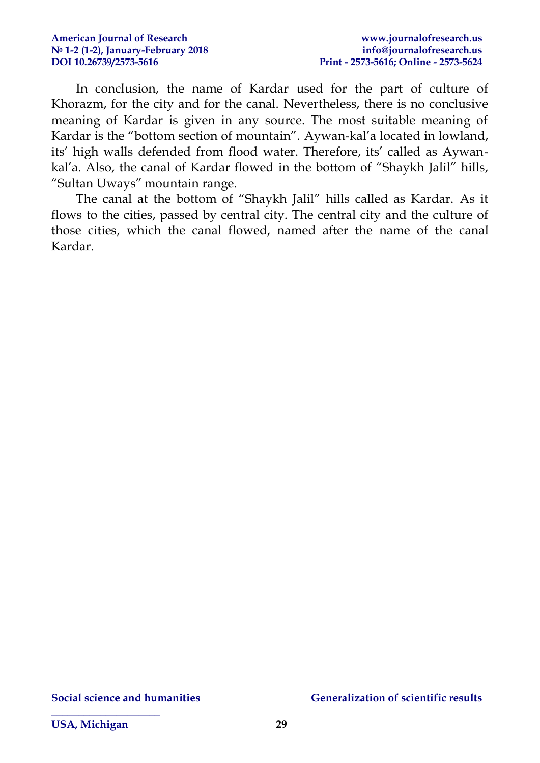In conclusion, the name of Kardar used for the part of culture of Khorazm, for the city and for the canal. Nevertheless, there is no conclusive meaning of Kardar is given in any source. The most suitable meaning of Kardar is the "bottom section of mountain". Aywan-kal'a located in lowland, its' high walls defended from flood water. Therefore, its' called as Aywankal'a. Also, the canal of Kardar flowed in the bottom of "Shaykh Jalil" hills, "Sultan Uways" mountain range.

The canal at the bottom of "Shaykh Jalil" hills called as Kardar. As it flows to the cities, passed by central city. The central city and the culture of those cities, which the canal flowed, named after the name of the canal Kardar.

**\_\_\_\_\_\_\_\_\_\_\_\_\_\_\_\_\_\_\_\_**